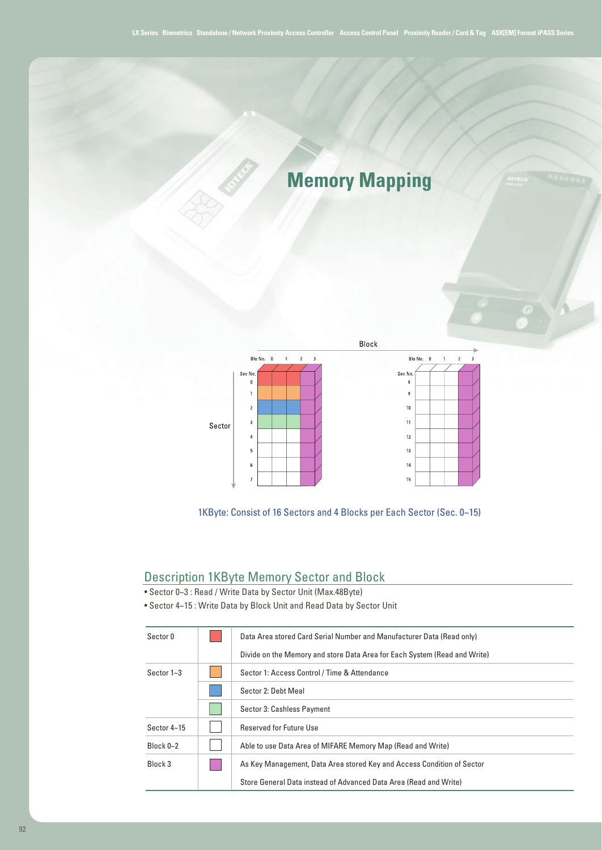## **Memory Mapping**



1KByte: Consist of 16 Sectors and 4 Blocks per Each Sector (Sec. 0~15)

## Description 1KByte Memory Sector and Block

- Sector 0~3 : Read / Write Data by Sector Unit (Max.48Byte)
- Sector 4~15 : Write Data by Block Unit and Read Data by Sector Unit

| Sector 0        | Data Area stored Card Serial Number and Manufacturer Data (Read only)     |  |
|-----------------|---------------------------------------------------------------------------|--|
|                 | Divide on the Memory and store Data Area for Each System (Read and Write) |  |
| Sector $1 - 3$  | Sector 1: Access Control / Time & Attendance                              |  |
|                 | Sector 2: Debt Meal                                                       |  |
|                 | Sector 3: Cashless Payment                                                |  |
| Sector $4 - 15$ | <b>Reserved for Future Use</b>                                            |  |
| Block $0 - 2$   | Able to use Data Area of MIFARE Memory Map (Read and Write)               |  |
| Block 3         | As Key Management, Data Area stored Key and Access Condition of Sector    |  |
|                 | Store General Data instead of Advanced Data Area (Read and Write)         |  |